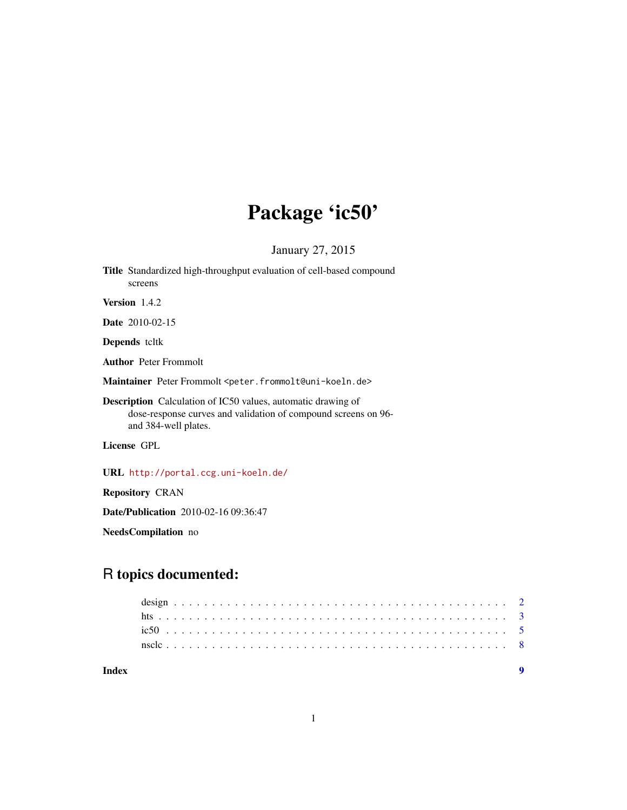## Package 'ic50'

January 27, 2015

Title Standardized high-throughput evaluation of cell-based compound screens

Version 1.4.2

Date 2010-02-15

Depends tcltk

Author Peter Frommolt

Maintainer Peter Frommolt <peter.frommolt@uni-koeln.de>

Description Calculation of IC50 values, automatic drawing of dose-response curves and validation of compound screens on 96 and 384-well plates.

License GPL

URL <http://portal.ccg.uni-koeln.de/>

Repository CRAN

Date/Publication 2010-02-16 09:36:47

NeedsCompilation no

## R topics documented:

**Index** [9](#page-8-0)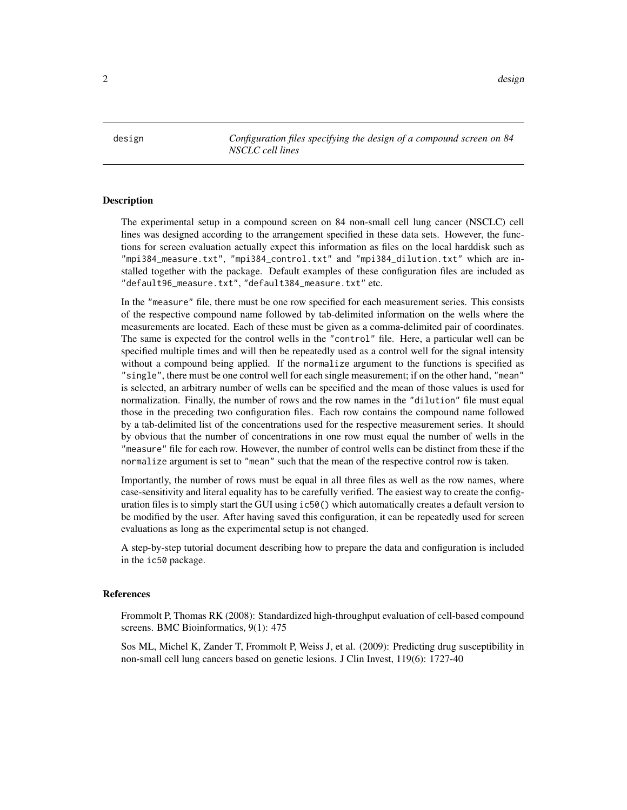<span id="page-1-0"></span>design and the contract of the contract of the contract of the contract of the contract of the contract of the contract of the contract of the contract of the contract of the contract of the contract of the contract of the

design *Configuration files specifying the design of a compound screen on 84 NSCLC cell lines*

#### <span id="page-1-1"></span>Description

The experimental setup in a compound screen on 84 non-small cell lung cancer (NSCLC) cell lines was designed according to the arrangement specified in these data sets. However, the functions for screen evaluation actually expect this information as files on the local harddisk such as "mpi384\_measure.txt", "mpi384\_control.txt" and "mpi384\_dilution.txt" which are installed together with the package. Default examples of these configuration files are included as "default96\_measure.txt", "default384\_measure.txt" etc.

In the "measure" file, there must be one row specified for each measurement series. This consists of the respective compound name followed by tab-delimited information on the wells where the measurements are located. Each of these must be given as a comma-delimited pair of coordinates. The same is expected for the control wells in the "control" file. Here, a particular well can be specified multiple times and will then be repeatedly used as a control well for the signal intensity without a compound being applied. If the normalize argument to the functions is specified as "single", there must be one control well for each single measurement; if on the other hand, "mean" is selected, an arbitrary number of wells can be specified and the mean of those values is used for normalization. Finally, the number of rows and the row names in the "dilution" file must equal those in the preceding two configuration files. Each row contains the compound name followed by a tab-delimited list of the concentrations used for the respective measurement series. It should by obvious that the number of concentrations in one row must equal the number of wells in the "measure" file for each row. However, the number of control wells can be distinct from these if the normalize argument is set to "mean" such that the mean of the respective control row is taken.

Importantly, the number of rows must be equal in all three files as well as the row names, where case-sensitivity and literal equality has to be carefully verified. The easiest way to create the configuration files is to simply start the GUI using ic50() which automatically creates a default version to be modified by the user. After having saved this configuration, it can be repeatedly used for screen evaluations as long as the experimental setup is not changed.

A step-by-step tutorial document describing how to prepare the data and configuration is included in the ic50 package.

#### References

Frommolt P, Thomas RK (2008): Standardized high-throughput evaluation of cell-based compound screens. BMC Bioinformatics, 9(1): 475

Sos ML, Michel K, Zander T, Frommolt P, Weiss J, et al. (2009): Predicting drug susceptibility in non-small cell lung cancers based on genetic lesions. J Clin Invest, 119(6): 1727-40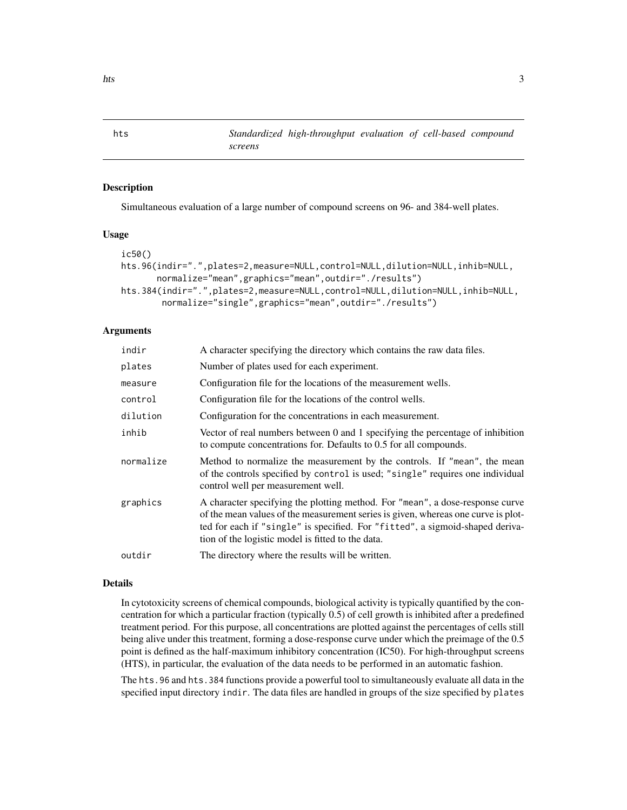<span id="page-2-0"></span>hts *Standardized high-throughput evaluation of cell-based compound screens*

#### Description

Simultaneous evaluation of a large number of compound screens on 96- and 384-well plates.

#### Usage

```
ic50()
hts.96(indir=".",plates=2,measure=NULL,control=NULL,dilution=NULL,inhib=NULL,
       normalize="mean",graphics="mean",outdir="./results")
hts.384(indir=".",plates=2,measure=NULL,control=NULL,dilution=NULL,inhib=NULL,
       normalize="single",graphics="mean",outdir="./results")
```
#### Arguments

| indir     | A character specifying the directory which contains the raw data files.                                                                                                                                                                                                                                  |
|-----------|----------------------------------------------------------------------------------------------------------------------------------------------------------------------------------------------------------------------------------------------------------------------------------------------------------|
| plates    | Number of plates used for each experiment.                                                                                                                                                                                                                                                               |
| measure   | Configuration file for the locations of the measurement wells.                                                                                                                                                                                                                                           |
| control   | Configuration file for the locations of the control wells.                                                                                                                                                                                                                                               |
| dilution  | Configuration for the concentrations in each measurement.                                                                                                                                                                                                                                                |
| inhib     | Vector of real numbers between 0 and 1 specifying the percentage of inhibition<br>to compute concentrations for. Defaults to 0.5 for all compounds.                                                                                                                                                      |
| normalize | Method to normalize the measurement by the controls. If "mean", the mean<br>of the controls specified by control is used; "single" requires one individual<br>control well per measurement well.                                                                                                         |
| graphics  | A character specifying the plotting method. For "mean", a dose-response curve<br>of the mean values of the measurement series is given, whereas one curve is plot-<br>ted for each if "single" is specified. For "fitted", a sigmoid-shaped deriva-<br>tion of the logistic model is fitted to the data. |
| outdir    | The directory where the results will be written.                                                                                                                                                                                                                                                         |
|           |                                                                                                                                                                                                                                                                                                          |

#### Details

In cytotoxicity screens of chemical compounds, biological activity is typically quantified by the concentration for which a particular fraction (typically 0.5) of cell growth is inhibited after a predefined treatment period. For this purpose, all concentrations are plotted against the percentages of cells still being alive under this treatment, forming a dose-response curve under which the preimage of the 0.5 point is defined as the half-maximum inhibitory concentration (IC50). For high-throughput screens (HTS), in particular, the evaluation of the data needs to be performed in an automatic fashion.

The hts.96 and hts.384 functions provide a powerful tool to simultaneously evaluate all data in the specified input directory indir. The data files are handled in groups of the size specified by plates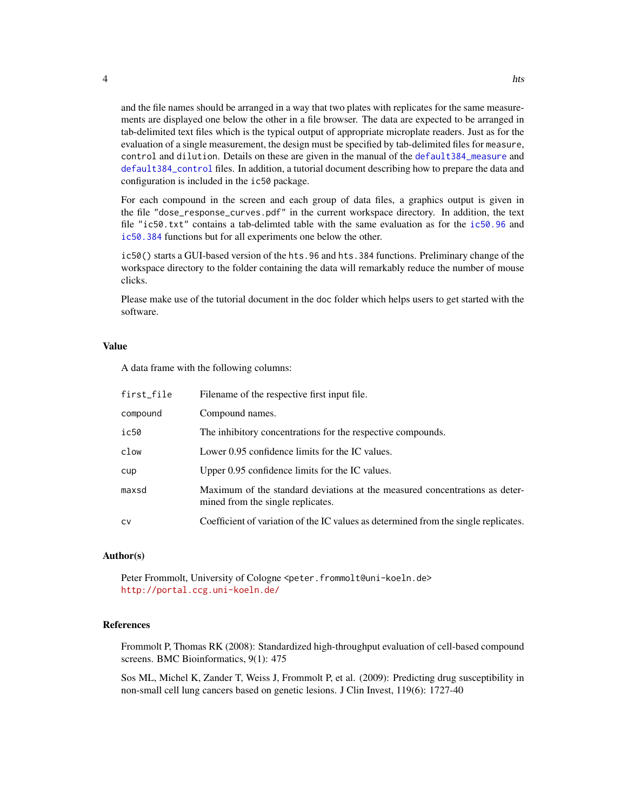and the file names should be arranged in a way that two plates with replicates for the same measurements are displayed one below the other in a file browser. The data are expected to be arranged in tab-delimited text files which is the typical output of appropriate microplate readers. Just as for the evaluation of a single measurement, the design must be specified by tab-delimited files for measure, control and dilution. Details on these are given in the manual of the [default384\\_measure](#page-1-1) and [default384\\_control](#page-1-1) files. In addition, a tutorial document describing how to prepare the data and configuration is included in the ic50 package.

For each compound in the screen and each group of data files, a graphics output is given in the file "dose\_response\_curves.pdf" in the current workspace directory. In addition, the text file "ic50.txt" contains a tab-delimted table with the same evaluation as for the [ic50.96](#page-4-1) and [ic50.384](#page-4-1) functions but for all experiments one below the other.

ic50() starts a GUI-based version of the hts.96 and hts.384 functions. Preliminary change of the workspace directory to the folder containing the data will remarkably reduce the number of mouse clicks.

Please make use of the tutorial document in the doc folder which helps users to get started with the software.

#### Value

A data frame with the following columns:

| first_file | Filename of the respective first input file.                                                                     |
|------------|------------------------------------------------------------------------------------------------------------------|
| compound   | Compound names.                                                                                                  |
| ic50       | The inhibitory concentrations for the respective compounds.                                                      |
| clow       | Lower 0.95 confidence limits for the IC values.                                                                  |
| cup        | Upper 0.95 confidence limits for the IC values.                                                                  |
| maxsd      | Maximum of the standard deviations at the measured concentrations as deter-<br>mined from the single replicates. |
| CV         | Coefficient of variation of the IC values as determined from the single replicates.                              |

#### Author(s)

Peter Frommolt, University of Cologne <peter.frommolt@uni-koeln.de> <http://portal.ccg.uni-koeln.de/>

### References

Frommolt P, Thomas RK (2008): Standardized high-throughput evaluation of cell-based compound screens. BMC Bioinformatics, 9(1): 475

Sos ML, Michel K, Zander T, Weiss J, Frommolt P, et al. (2009): Predicting drug susceptibility in non-small cell lung cancers based on genetic lesions. J Clin Invest, 119(6): 1727-40

<span id="page-3-0"></span>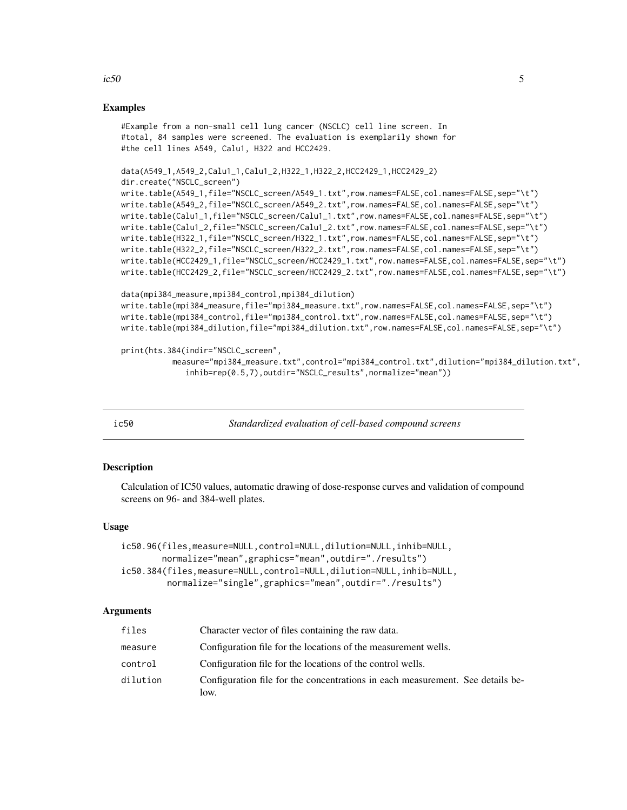#### <span id="page-4-0"></span>Examples

```
#Example from a non-small cell lung cancer (NSCLC) cell line screen. In
#total, 84 samples were screened. The evaluation is exemplarily shown for
#the cell lines A549, Calu1, H322 and HCC2429.
```

```
data(A549_1,A549_2,Calu1_1,Calu1_2,H322_1,H322_2,HCC2429_1,HCC2429_2)
dir.create("NSCLC_screen")
write.table(A549_1,file="NSCLC_screen/A549_1.txt",row.names=FALSE,col.names=FALSE,sep="\t")
write.table(A549_2,file="NSCLC_screen/A549_2.txt",row.names=FALSE,col.names=FALSE,sep="\t")
write.table(Calu1_1,file="NSCLC_screen/Calu1_1.txt",row.names=FALSE,col.names=FALSE,sep="\t")
write.table(Calu1_2,file="NSCLC_screen/Calu1_2.txt",row.names=FALSE,col.names=FALSE,sep="\t")
write.table(H322_1,file="NSCLC_screen/H322_1.txt",row.names=FALSE,col.names=FALSE,sep="\t")
```

```
write.table(H322_2,file="NSCLC_screen/H322_2.txt",row.names=FALSE,col.names=FALSE,sep="\t")
write.table(HCC2429_1,file="NSCLC_screen/HCC2429_1.txt",row.names=FALSE,col.names=FALSE,sep="\t")
write.table(HCC2429_2,file="NSCLC_screen/HCC2429_2.txt",row.names=FALSE,col.names=FALSE,sep="\t")
```

```
data(mpi384_measure,mpi384_control,mpi384_dilution)
write.table(mpi384_measure,file="mpi384_measure.txt",row.names=FALSE,col.names=FALSE,sep="\t")
write.table(mpi384_control,file="mpi384_control.txt",row.names=FALSE,col.names=FALSE,sep="\t")
write.table(mpi384_dilution,file="mpi384_dilution.txt",row.names=FALSE,col.names=FALSE,sep="\t")
```

```
print(hts.384(indir="NSCLC_screen",
           measure="mpi384_measure.txt",control="mpi384_control.txt",dilution="mpi384_dilution.txt",
              inhib=rep(0.5,7),outdir="NSCLC_results",normalize="mean"))
```

ic50 *Standardized evaluation of cell-based compound screens*

#### <span id="page-4-1"></span>Description

Calculation of IC50 values, automatic drawing of dose-response curves and validation of compound screens on 96- and 384-well plates.

#### Usage

```
ic50.96(files,measure=NULL,control=NULL,dilution=NULL,inhib=NULL,
       normalize="mean",graphics="mean",outdir="./results")
ic50.384(files,measure=NULL,control=NULL,dilution=NULL,inhib=NULL,
         normalize="single",graphics="mean",outdir="./results")
```
#### Arguments

| files    | Character vector of files containing the raw data.                                     |
|----------|----------------------------------------------------------------------------------------|
| measure  | Configuration file for the locations of the measurement wells.                         |
| control  | Configuration file for the locations of the control wells.                             |
| dilution | Configuration file for the concentrations in each measurement. See details be-<br>low. |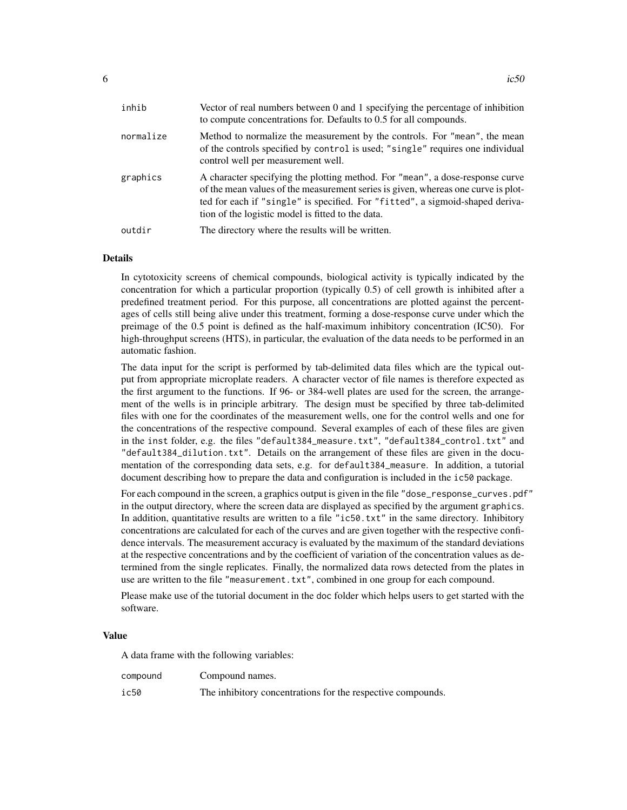| inhib     | Vector of real numbers between 0 and 1 specifying the percentage of inhibition<br>to compute concentrations for. Defaults to 0.5 for all compounds.                                                                                                                                                      |
|-----------|----------------------------------------------------------------------------------------------------------------------------------------------------------------------------------------------------------------------------------------------------------------------------------------------------------|
| normalize | Method to normalize the measurement by the controls. For "mean", the mean<br>of the controls specified by control is used; "single" requires one individual<br>control well per measurement well.                                                                                                        |
| graphics  | A character specifying the plotting method. For "mean", a dose-response curve<br>of the mean values of the measurement series is given, whereas one curve is plot-<br>ted for each if "single" is specified. For "fitted", a sigmoid-shaped deriva-<br>tion of the logistic model is fitted to the data. |
| outdir    | The directory where the results will be written.                                                                                                                                                                                                                                                         |

#### Details

In cytotoxicity screens of chemical compounds, biological activity is typically indicated by the concentration for which a particular proportion (typically 0.5) of cell growth is inhibited after a predefined treatment period. For this purpose, all concentrations are plotted against the percentages of cells still being alive under this treatment, forming a dose-response curve under which the preimage of the 0.5 point is defined as the half-maximum inhibitory concentration (IC50). For high-throughput screens (HTS), in particular, the evaluation of the data needs to be performed in an automatic fashion.

The data input for the script is performed by tab-delimited data files which are the typical output from appropriate microplate readers. A character vector of file names is therefore expected as the first argument to the functions. If 96- or 384-well plates are used for the screen, the arrangement of the wells is in principle arbitrary. The design must be specified by three tab-delimited files with one for the coordinates of the measurement wells, one for the control wells and one for the concentrations of the respective compound. Several examples of each of these files are given in the inst folder, e.g. the files "default384\_measure.txt", "default384\_control.txt" and "default384\_dilution.txt". Details on the arrangement of these files are given in the documentation of the corresponding data sets, e.g. for default384\_measure. In addition, a tutorial document describing how to prepare the data and configuration is included in the ic50 package.

For each compound in the screen, a graphics output is given in the file "dose\_response\_curves.pdf" in the output directory, where the screen data are displayed as specified by the argument graphics. In addition, quantitative results are written to a file " $i c 50$ . txt" in the same directory. Inhibitory concentrations are calculated for each of the curves and are given together with the respective confidence intervals. The measurement accuracy is evaluated by the maximum of the standard deviations at the respective concentrations and by the coefficient of variation of the concentration values as determined from the single replicates. Finally, the normalized data rows detected from the plates in use are written to the file "measurement.txt", combined in one group for each compound.

Please make use of the tutorial document in the doc folder which helps users to get started with the software.

#### Value

A data frame with the following variables:

| compound | Compound names.                                             |
|----------|-------------------------------------------------------------|
| ic50     | The inhibitory concentrations for the respective compounds. |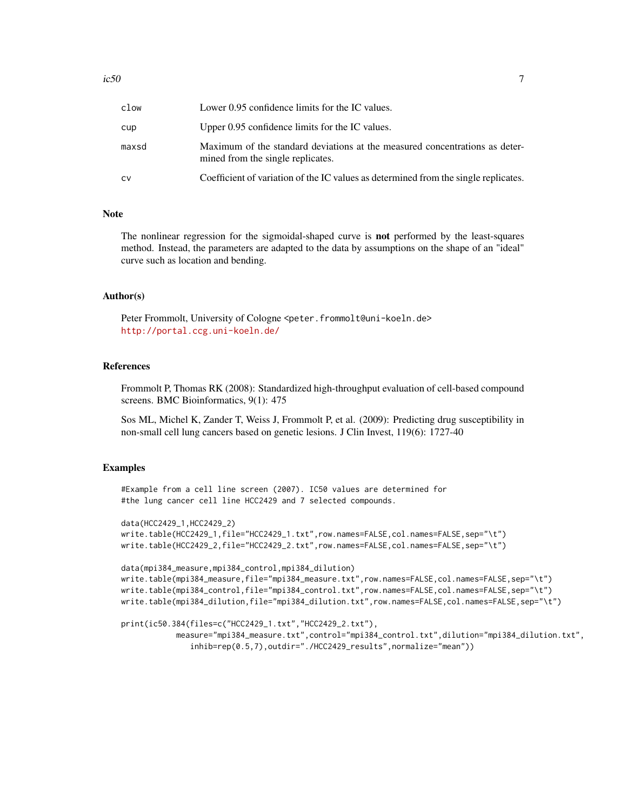| clow  | Lower 0.95 confidence limits for the IC values.                                                                  |
|-------|------------------------------------------------------------------------------------------------------------------|
| cup   | Upper 0.95 confidence limits for the IC values.                                                                  |
| maxsd | Maximum of the standard deviations at the measured concentrations as deter-<br>mined from the single replicates. |
| CV    | Coefficient of variation of the IC values as determined from the single replicates.                              |

### Note

The nonlinear regression for the sigmoidal-shaped curve is not performed by the least-squares method. Instead, the parameters are adapted to the data by assumptions on the shape of an "ideal" curve such as location and bending.

#### Author(s)

Peter Frommolt, University of Cologne <peter.frommolt@uni-koeln.de> <http://portal.ccg.uni-koeln.de/>

#### References

Frommolt P, Thomas RK (2008): Standardized high-throughput evaluation of cell-based compound screens. BMC Bioinformatics, 9(1): 475

Sos ML, Michel K, Zander T, Weiss J, Frommolt P, et al. (2009): Predicting drug susceptibility in non-small cell lung cancers based on genetic lesions. J Clin Invest, 119(6): 1727-40

#### Examples

```
#Example from a cell line screen (2007). IC50 values are determined for
#the lung cancer cell line HCC2429 and 7 selected compounds.
```

```
data(HCC2429_1,HCC2429_2)
write.table(HCC2429_1,file="HCC2429_1.txt",row.names=FALSE,col.names=FALSE,sep="\t")
write.table(HCC2429_2,file="HCC2429_2.txt",row.names=FALSE,col.names=FALSE,sep="\t")
```

```
data(mpi384_measure,mpi384_control,mpi384_dilution)
write.table(mpi384_measure,file="mpi384_measure.txt",row.names=FALSE,col.names=FALSE,sep="\t")
write.table(mpi384_control,file="mpi384_control.txt",row.names=FALSE,col.names=FALSE,sep="\t")
write.table(mpi384_dilution,file="mpi384_dilution.txt",row.names=FALSE,col.names=FALSE,sep="\t")
```

```
print(ic50.384(files=c("HCC2429_1.txt","HCC2429_2.txt"),
           measure="mpi384_measure.txt",control="mpi384_control.txt",dilution="mpi384_dilution.txt",
              inhib=rep(0.5,7),outdir="./HCC2429_results",normalize="mean"))
```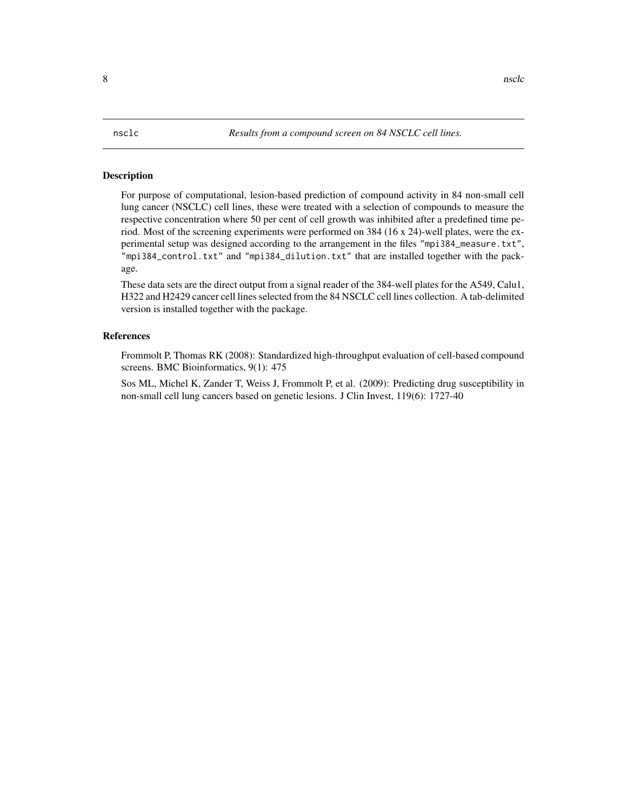#### <span id="page-7-0"></span>Description

For purpose of computational, lesion-based prediction of compound activity in 84 non-small cell lung cancer (NSCLC) cell lines, these were treated with a selection of compounds to measure the respective concentration where 50 per cent of cell growth was inhibited after a predefined time period. Most of the screening experiments were performed on 384 (16 x 24)-well plates, were the experimental setup was designed according to the arrangement in the files "mpi384\_measure.txt", "mpi384\_control.txt" and "mpi384\_dilution.txt" that are installed together with the package.

These data sets are the direct output from a signal reader of the 384-well plates for the A549, Calu1, H322 and H2429 cancer cell lines selected from the 84 NSCLC cell lines collection. A tab-delimited version is installed together with the package.

#### References

Frommolt P, Thomas RK (2008): Standardized high-throughput evaluation of cell-based compound screens. BMC Bioinformatics, 9(1): 475

Sos ML, Michel K, Zander T, Weiss J, Frommolt P, et al. (2009): Predicting drug susceptibility in non-small cell lung cancers based on genetic lesions. J Clin Invest, 119(6): 1727-40